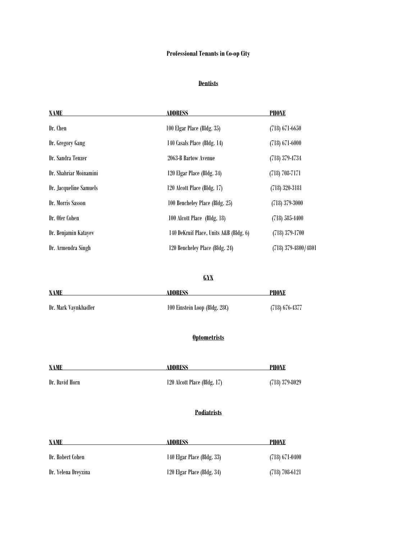### **Professional Tenants in Co-op City**

#### **Dentists**

| <b>NAME</b>            | <b>ADDRESS</b>                         | <b>PHONE</b>        |
|------------------------|----------------------------------------|---------------------|
| Dr. Chen               | 100 Elgar Place (Bldg. 35)             | $(718)$ 671-6650    |
| Dr. Gregory Gang       | 140 Casals Place (Bldg. 14)            | $(718)$ 671-6000    |
| Dr. Sandra Tenzer      | 2063-B Bartow Avenue                   | $(718)$ 379-4734    |
| Dr. Shahriar Moinamini | 120 Elgar Place (Bldg. 34)             | $(718) 708 - 7171$  |
| Dr. Jacqueline Samuels | 120 Alcott Place (Bldg. 17)            | $(718)$ 320-3181    |
| Dr. Morris Sasson      | 100 Bencheley Place (Bldg. 25)         | $(718)$ 379-3000    |
| Dr. Ofer Cohen         | 100 Alcott Place (Bldg. 18)            | $(718)$ 585-4400    |
| Dr. Benjamin Katayev   | 140 DeKruif Place, Units A&B (Bldg. 6) | $(718)$ 379-1700    |
| Dr. Armendra Singh     | 120 Bencheley Place (Bldg. 24)         | (718) 379-4800/4801 |

## **GYN**

| <b>NAME</b>          | <b>ADDRESS</b>                | PHONE            |
|----------------------|-------------------------------|------------------|
| Dr. Mark Vaynkhadler | 100 Einstein Loop (Bldg. 28C) | $(718)$ 676-4377 |

## **Optometrists**

| <b>NAME</b>    | <b>ADDRESS</b>              | PHONE            |
|----------------|-----------------------------|------------------|
| Dr. David Horn | 120 Alcott Place (Bldg. 17) | $(718)$ 379-8029 |

#### **Podiatrists**

| <b>NAME</b>         | ADDRESS                    | PHONE              |
|---------------------|----------------------------|--------------------|
| Dr. Robert Cohen    | 140 Elgar Place (Bldg. 33) | $(718)$ 671-0400   |
| Dr. Yelena Dreyzina | 120 Elgar Place (Bldg. 34) | $(718) 708 - 6121$ |